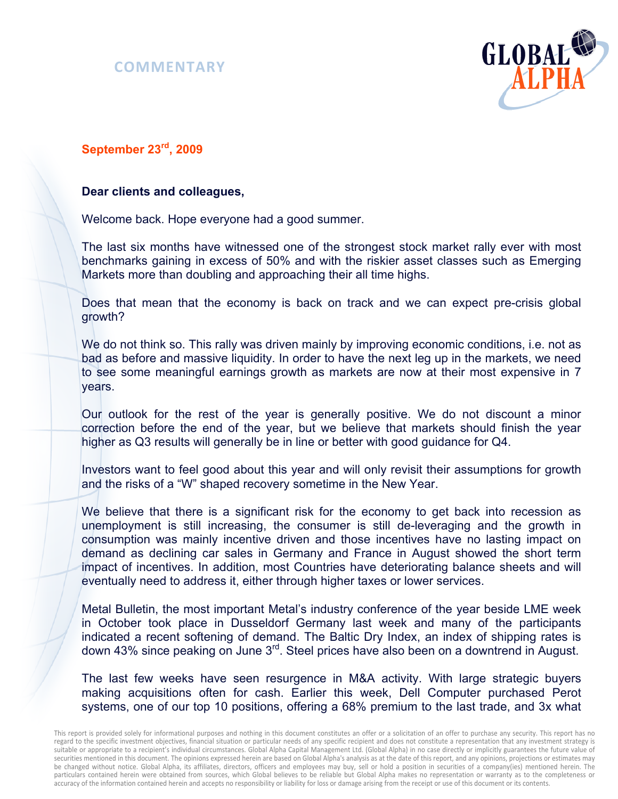



## **September 23rd, 2009**

#### **Dear clients and colleagues,**

Welcome back. Hope everyone had a good summer.

The last six months have witnessed one of the strongest stock market rally ever with most benchmarks gaining in excess of 50% and with the riskier asset classes such as Emerging Markets more than doubling and approaching their all time highs.

Does that mean that the economy is back on track and we can expect pre-crisis global growth?

We do not think so. This rally was driven mainly by improving economic conditions, i.e. not as bad as before and massive liquidity. In order to have the next leg up in the markets, we need to see some meaningful earnings growth as markets are now at their most expensive in 7 years.

Our outlook for the rest of the year is generally positive. We do not discount a minor correction before the end of the year, but we believe that markets should finish the year higher as Q3 results will generally be in line or better with good guidance for Q4.

Investors want to feel good about this year and will only revisit their assumptions for growth and the risks of a "W" shaped recovery sometime in the New Year.

We believe that there is a significant risk for the economy to get back into recession as unemployment is still increasing, the consumer is still de-leveraging and the growth in consumption was mainly incentive driven and those incentives have no lasting impact on demand as declining car sales in Germany and France in August showed the short term impact of incentives. In addition, most Countries have deteriorating balance sheets and will eventually need to address it, either through higher taxes or lower services.

Metal Bulletin, the most important Metal's industry conference of the year beside LME week in October took place in Dusseldorf Germany last week and many of the participants indicated a recent softening of demand. The Baltic Dry Index, an index of shipping rates is down 43% since peaking on June 3<sup>rd</sup>. Steel prices have also been on a downtrend in August.

The last few weeks have seen resurgence in M&A activity. With large strategic buyers making acquisitions often for cash. Earlier this week, Dell Computer purchased Perot systems, one of our top 10 positions, offering a 68% premium to the last trade, and 3x what

This report is provided solely for informational purposes and nothing in this document constitutes an offer or a solicitation of an offer to purchase any security. This report has no regard to the specific investment objectives, financial situation or particular needs of any specific recipient and does not constitute a representation that any investment strategy is suitable or appropriate to a recipient's individual circumstances. Global Alpha Capital Management Ltd. (Global Alpha) in no case directly or implicitly guarantees the future value of securities mentioned in this document. The opinions expressed herein are based on Global Alpha's analysis as at the date of this report, and any opinions, projections or estimates may be changed without notice. Global Alpha, its affiliates, directors, officers and employees may buy, sell or hold a position in securities of a company(ies) mentioned herein. The particulars contained herein were obtained from sources, which Global believes to be reliable but Global Alpha makes no representation or warranty as to the completeness or accuracy of the information contained herein and accepts no responsibility or liability for loss or damage arising from the receipt or use of this document or its contents.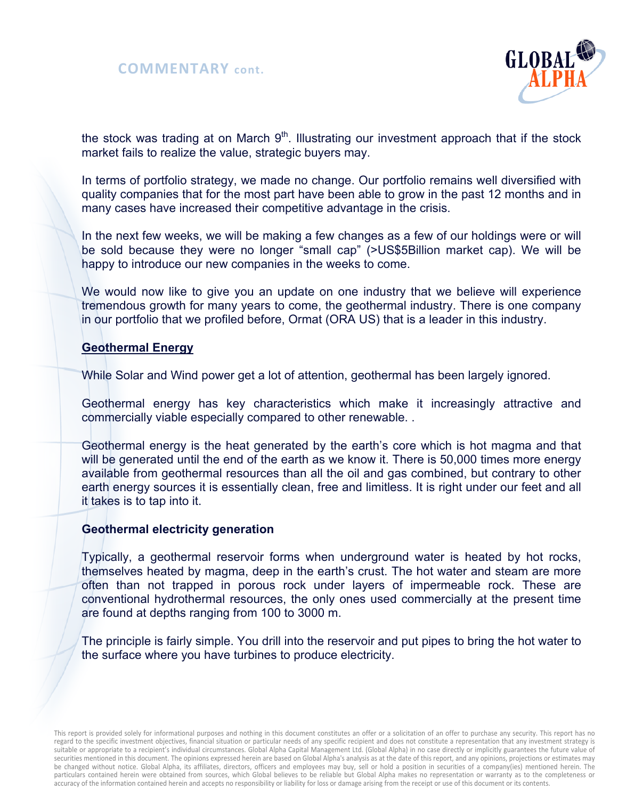



the stock was trading at on March  $9<sup>th</sup>$ . Illustrating our investment approach that if the stock market fails to realize the value, strategic buyers may.

In terms of portfolio strategy, we made no change. Our portfolio remains well diversified with quality companies that for the most part have been able to grow in the past 12 months and in many cases have increased their competitive advantage in the crisis.

In the next few weeks, we will be making a few changes as a few of our holdings were or will be sold because they were no longer "small cap" (>US\$5Billion market cap). We will be happy to introduce our new companies in the weeks to come.

We would now like to give you an update on one industry that we believe will experience tremendous growth for many years to come, the geothermal industry. There is one company in our portfolio that we profiled before, Ormat (ORA US) that is a leader in this industry.

### **Geothermal Energy**

While Solar and Wind power get a lot of attention, geothermal has been largely ignored.

Geothermal energy has key characteristics which make it increasingly attractive and commercially viable especially compared to other renewable. .

Geothermal energy is the heat generated by the earth's core which is hot magma and that will be generated until the end of the earth as we know it. There is 50,000 times more energy available from geothermal resources than all the oil and gas combined, but contrary to other earth energy sources it is essentially clean, free and limitless. It is right under our feet and all it takes is to tap into it.

### **Geothermal electricity generation**

Typically, a geothermal reservoir forms when underground water is heated by hot rocks, themselves heated by magma, deep in the earth's crust. The hot water and steam are more often than not trapped in porous rock under layers of impermeable rock. These are conventional hydrothermal resources, the only ones used commercially at the present time are found at depths ranging from 100 to 3000 m.

The principle is fairly simple. You drill into the reservoir and put pipes to bring the hot water to the surface where you have turbines to produce electricity.

This report is provided solely for informational purposes and nothing in this document constitutes an offer or a solicitation of an offer to purchase any security. This report has no regard to the specific investment objectives, financial situation or particular needs of any specific recipient and does not constitute a representation that any investment strategy is suitable or appropriate to a recipient's individual circumstances. Global Alpha Capital Management Ltd. (Global Alpha) in no case directly or implicitly guarantees the future value of securities mentioned in this document. The opinions expressed herein are based on Global Alpha's analysis as at the date of this report, and any opinions, projections or estimates may be changed without notice. Global Alpha, its affiliates, directors, officers and employees may buy, sell or hold a position in securities of a company(ies) mentioned herein. The particulars contained herein were obtained from sources, which Global believes to be reliable but Global Alpha makes no representation or warranty as to the completeness or accuracy of the information contained herein and accepts no responsibility or liability for loss or damage arising from the receipt or use of this document or its contents.